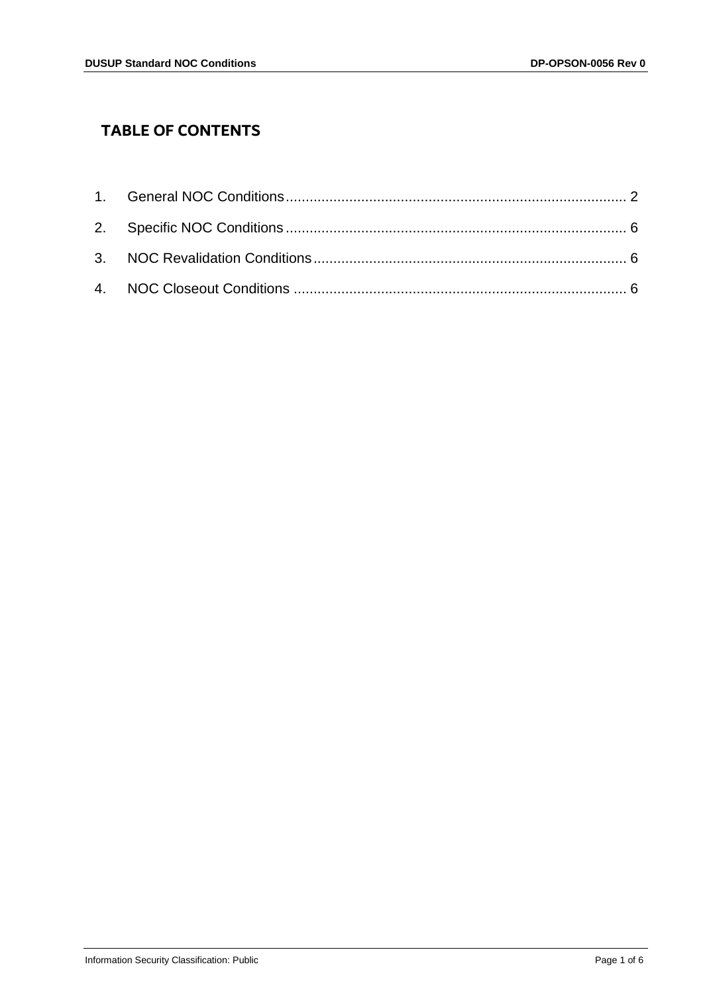# **TABLE OF CONTENTS**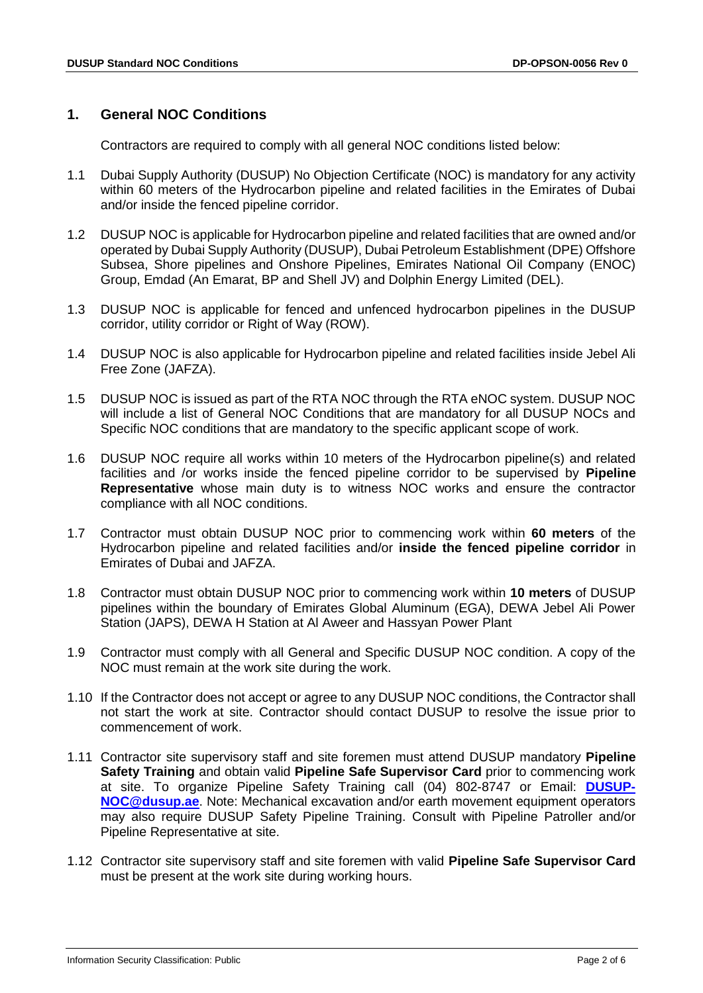## <span id="page-1-0"></span>**1. General NOC Conditions**

Contractors are required to comply with all general NOC conditions listed below:

- 1.1 Dubai Supply Authority (DUSUP) No Objection Certificate (NOC) is mandatory for any activity within 60 meters of the Hydrocarbon pipeline and related facilities in the Emirates of Dubai and/or inside the fenced pipeline corridor.
- 1.2 DUSUP NOC is applicable for Hydrocarbon pipeline and related facilities that are owned and/or operated by Dubai Supply Authority (DUSUP), Dubai Petroleum Establishment (DPE) Offshore Subsea, Shore pipelines and Onshore Pipelines, Emirates National Oil Company (ENOC) Group, Emdad (An Emarat, BP and Shell JV) and Dolphin Energy Limited (DEL).
- 1.3 DUSUP NOC is applicable for fenced and unfenced hydrocarbon pipelines in the DUSUP corridor, utility corridor or Right of Way (ROW).
- 1.4 DUSUP NOC is also applicable for Hydrocarbon pipeline and related facilities inside Jebel Ali Free Zone (JAFZA).
- 1.5 DUSUP NOC is issued as part of the RTA NOC through the RTA eNOC system. DUSUP NOC will include a list of General NOC Conditions that are mandatory for all DUSUP NOCs and Specific NOC conditions that are mandatory to the specific applicant scope of work.
- 1.6 DUSUP NOC require all works within 10 meters of the Hydrocarbon pipeline(s) and related facilities and /or works inside the fenced pipeline corridor to be supervised by **Pipeline Representative** whose main duty is to witness NOC works and ensure the contractor compliance with all NOC conditions.
- 1.7 Contractor must obtain DUSUP NOC prior to commencing work within **60 meters** of the Hydrocarbon pipeline and related facilities and/or **inside the fenced pipeline corridor** in Emirates of Dubai and JAFZA.
- 1.8 Contractor must obtain DUSUP NOC prior to commencing work within **10 meters** of DUSUP pipelines within the boundary of Emirates Global Aluminum (EGA), DEWA Jebel Ali Power Station (JAPS), DEWA H Station at Al Aweer and Hassyan Power Plant
- 1.9 Contractor must comply with all General and Specific DUSUP NOC condition. A copy of the NOC must remain at the work site during the work.
- 1.10 If the Contractor does not accept or agree to any DUSUP NOC conditions, the Contractor shall not start the work at site. Contractor should contact DUSUP to resolve the issue prior to commencement of work.
- 1.11 Contractor site supervisory staff and site foremen must attend DUSUP mandatory **Pipeline Safety Training** and obtain valid **Pipeline Safe Supervisor Card** prior to commencing work at site. To organize Pipeline Safety Training call (04) 802-8747 or Email: **[DUSUP-](mailto:DUSUP-NOC@dusup.ae)[NOC@dusup.ae](mailto:DUSUP-NOC@dusup.ae)**. Note: Mechanical excavation and/or earth movement equipment operators may also require DUSUP Safety Pipeline Training. Consult with Pipeline Patroller and/or Pipeline Representative at site.
- 1.12 Contractor site supervisory staff and site foremen with valid **Pipeline Safe Supervisor Card** must be present at the work site during working hours.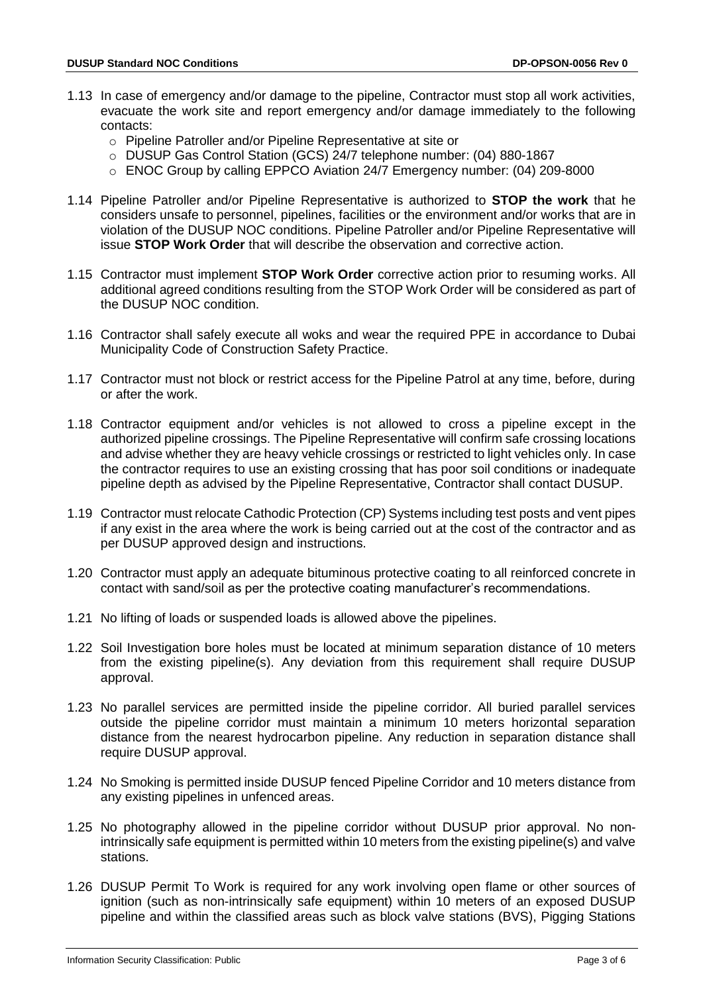- 1.13 In case of emergency and/or damage to the pipeline, Contractor must stop all work activities, evacuate the work site and report emergency and/or damage immediately to the following contacts:
	- o Pipeline Patroller and/or Pipeline Representative at site or
	- o DUSUP Gas Control Station (GCS) 24/7 telephone number: (04) 880-1867
	- o ENOC Group by calling EPPCO Aviation 24/7 Emergency number: (04) 209-8000
- 1.14 Pipeline Patroller and/or Pipeline Representative is authorized to **STOP the work** that he considers unsafe to personnel, pipelines, facilities or the environment and/or works that are in violation of the DUSUP NOC conditions. Pipeline Patroller and/or Pipeline Representative will issue **STOP Work Order** that will describe the observation and corrective action.
- 1.15 Contractor must implement **STOP Work Order** corrective action prior to resuming works. All additional agreed conditions resulting from the STOP Work Order will be considered as part of the DUSUP NOC condition.
- 1.16 Contractor shall safely execute all woks and wear the required PPE in accordance to Dubai Municipality Code of Construction Safety Practice.
- 1.17 Contractor must not block or restrict access for the Pipeline Patrol at any time, before, during or after the work.
- 1.18 Contractor equipment and/or vehicles is not allowed to cross a pipeline except in the authorized pipeline crossings. The Pipeline Representative will confirm safe crossing locations and advise whether they are heavy vehicle crossings or restricted to light vehicles only. In case the contractor requires to use an existing crossing that has poor soil conditions or inadequate pipeline depth as advised by the Pipeline Representative, Contractor shall contact DUSUP.
- 1.19 Contractor must relocate Cathodic Protection (CP) Systems including test posts and vent pipes if any exist in the area where the work is being carried out at the cost of the contractor and as per DUSUP approved design and instructions.
- 1.20 Contractor must apply an adequate bituminous protective coating to all reinforced concrete in contact with sand/soil as per the protective coating manufacturer's recommendations.
- 1.21 No lifting of loads or suspended loads is allowed above the pipelines.
- 1.22 Soil Investigation bore holes must be located at minimum separation distance of 10 meters from the existing pipeline(s). Any deviation from this requirement shall require DUSUP approval.
- 1.23 No parallel services are permitted inside the pipeline corridor. All buried parallel services outside the pipeline corridor must maintain a minimum 10 meters horizontal separation distance from the nearest hydrocarbon pipeline. Any reduction in separation distance shall require DUSUP approval.
- 1.24 No Smoking is permitted inside DUSUP fenced Pipeline Corridor and 10 meters distance from any existing pipelines in unfenced areas.
- 1.25 No photography allowed in the pipeline corridor without DUSUP prior approval. No nonintrinsically safe equipment is permitted within 10 meters from the existing pipeline(s) and valve stations.
- 1.26 DUSUP Permit To Work is required for any work involving open flame or other sources of ignition (such as non-intrinsically safe equipment) within 10 meters of an exposed DUSUP pipeline and within the classified areas such as block valve stations (BVS), Pigging Stations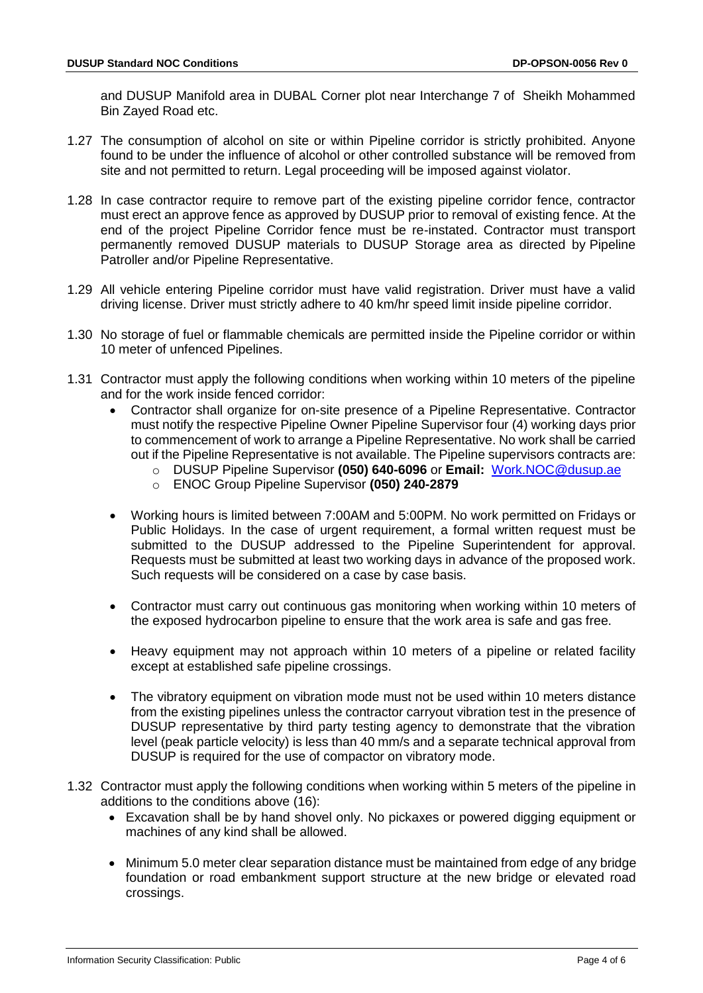and DUSUP Manifold area in DUBAL Corner plot near Interchange 7 of Sheikh Mohammed Bin Zayed Road etc.

- 1.27 The consumption of alcohol on site or within Pipeline corridor is strictly prohibited. Anyone found to be under the influence of alcohol or other controlled substance will be removed from site and not permitted to return. Legal proceeding will be imposed against violator.
- 1.28 In case contractor require to remove part of the existing pipeline corridor fence, contractor must erect an approve fence as approved by DUSUP prior to removal of existing fence. At the end of the project Pipeline Corridor fence must be re-instated. Contractor must transport permanently removed DUSUP materials to DUSUP Storage area as directed by Pipeline Patroller and/or Pipeline Representative.
- 1.29 All vehicle entering Pipeline corridor must have valid registration. Driver must have a valid driving license. Driver must strictly adhere to 40 km/hr speed limit inside pipeline corridor.
- 1.30 No storage of fuel or flammable chemicals are permitted inside the Pipeline corridor or within 10 meter of unfenced Pipelines.
- 1.31 Contractor must apply the following conditions when working within 10 meters of the pipeline and for the work inside fenced corridor:
	- Contractor shall organize for on-site presence of a Pipeline Representative. Contractor must notify the respective Pipeline Owner Pipeline Supervisor four (4) working days prior to commencement of work to arrange a Pipeline Representative. No work shall be carried out if the Pipeline Representative is not available. The Pipeline supervisors contracts are:
		- o DUSUP Pipeline Supervisor **(050) 640-6096** or **Email:** [Work.NOC@dusup.ae](mailto:Work.NOC@dusup.ae)
		- o ENOC Group Pipeline Supervisor **(050) 240-2879**
	- Working hours is limited between 7:00AM and 5:00PM. No work permitted on Fridays or Public Holidays. In the case of urgent requirement, a formal written request must be submitted to the DUSUP addressed to the Pipeline Superintendent for approval. Requests must be submitted at least two working days in advance of the proposed work. Such requests will be considered on a case by case basis.
	- Contractor must carry out continuous gas monitoring when working within 10 meters of the exposed hydrocarbon pipeline to ensure that the work area is safe and gas free.
	- Heavy equipment may not approach within 10 meters of a pipeline or related facility except at established safe pipeline crossings.
	- The vibratory equipment on vibration mode must not be used within 10 meters distance from the existing pipelines unless the contractor carryout vibration test in the presence of DUSUP representative by third party testing agency to demonstrate that the vibration level (peak particle velocity) is less than 40 mm/s and a separate technical approval from DUSUP is required for the use of compactor on vibratory mode.
- 1.32 Contractor must apply the following conditions when working within 5 meters of the pipeline in additions to the conditions above (16):
	- Excavation shall be by hand shovel only. No pickaxes or powered digging equipment or machines of any kind shall be allowed.
	- Minimum 5.0 meter clear separation distance must be maintained from edge of any bridge foundation or road embankment support structure at the new bridge or elevated road crossings.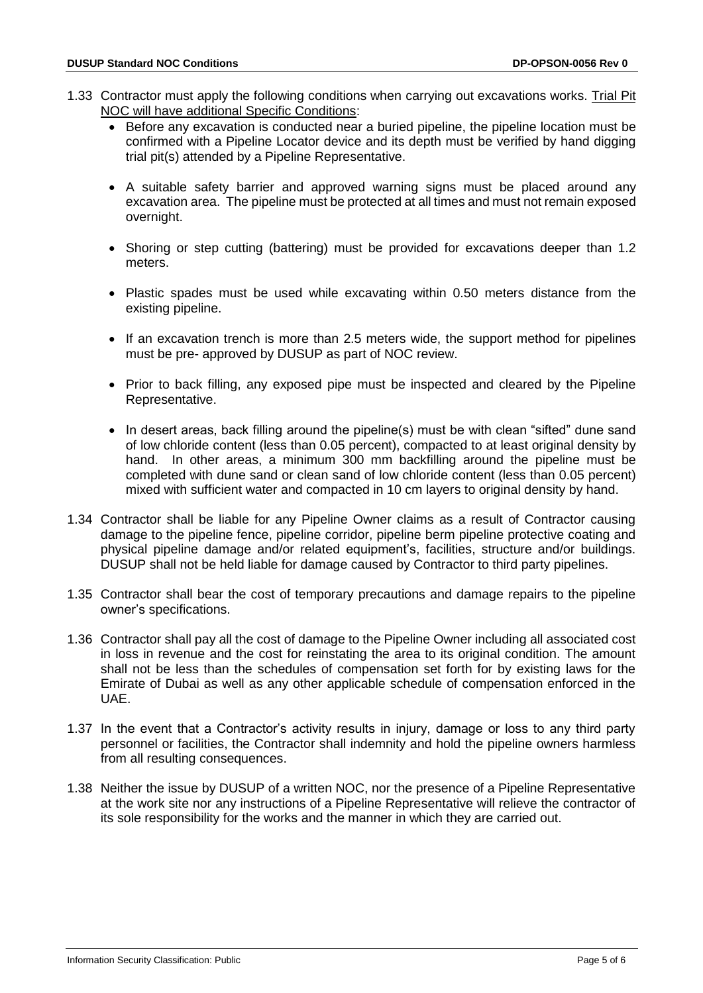- 1.33 Contractor must apply the following conditions when carrying out excavations works. Trial Pit NOC will have additional Specific Conditions:
	- Before any excavation is conducted near a buried pipeline, the pipeline location must be confirmed with a Pipeline Locator device and its depth must be verified by hand digging trial pit(s) attended by a Pipeline Representative.
	- A suitable safety barrier and approved warning signs must be placed around any excavation area. The pipeline must be protected at all times and must not remain exposed overnight.
	- Shoring or step cutting (battering) must be provided for excavations deeper than 1.2 meters.
	- Plastic spades must be used while excavating within 0.50 meters distance from the existing pipeline.
	- If an excavation trench is more than 2.5 meters wide, the support method for pipelines must be pre- approved by DUSUP as part of NOC review.
	- Prior to back filling, any exposed pipe must be inspected and cleared by the Pipeline Representative.
	- In desert areas, back filling around the pipeline(s) must be with clean "sifted" dune sand of low chloride content (less than 0.05 percent), compacted to at least original density by hand. In other areas, a minimum 300 mm backfilling around the pipeline must be completed with dune sand or clean sand of low chloride content (less than 0.05 percent) mixed with sufficient water and compacted in 10 cm layers to original density by hand.
- 1.34 Contractor shall be liable for any Pipeline Owner claims as a result of Contractor causing damage to the pipeline fence, pipeline corridor, pipeline berm pipeline protective coating and physical pipeline damage and/or related equipment's, facilities, structure and/or buildings. DUSUP shall not be held liable for damage caused by Contractor to third party pipelines.
- 1.35 Contractor shall bear the cost of temporary precautions and damage repairs to the pipeline owner's specifications.
- 1.36 Contractor shall pay all the cost of damage to the Pipeline Owner including all associated cost in loss in revenue and the cost for reinstating the area to its original condition. The amount shall not be less than the schedules of compensation set forth for by existing laws for the Emirate of Dubai as well as any other applicable schedule of compensation enforced in the UAE.
- 1.37 In the event that a Contractor's activity results in injury, damage or loss to any third party personnel or facilities, the Contractor shall indemnity and hold the pipeline owners harmless from all resulting consequences.
- 1.38 Neither the issue by DUSUP of a written NOC, nor the presence of a Pipeline Representative at the work site nor any instructions of a Pipeline Representative will relieve the contractor of its sole responsibility for the works and the manner in which they are carried out.